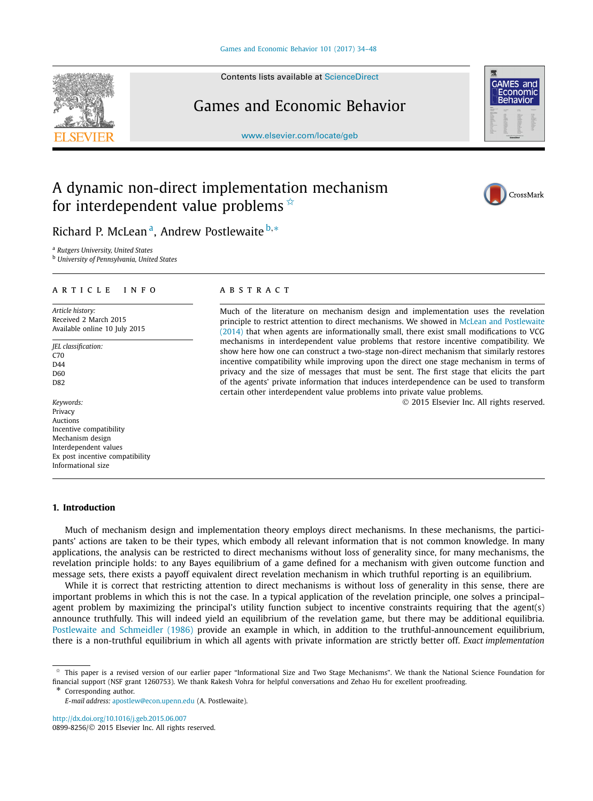Contents lists available at [ScienceDirect](http://www.ScienceDirect.com/)

# Games and Economic Behavior

[www.elsevier.com/locate/geb](http://www.elsevier.com/locate/geb)

# A dynamic non-direct implementation mechanism for interdependent value problems  $\dot{\alpha}$

# A R T I C L E I N F O A B S T R A C T

*Article history:* Received 2 March 2015 Available online 10 July 2015

*JEL classification:* C70 D44 D60 D<sub>82</sub>

*Keywords:* Privacy Auctions Incentive compatibility Mechanism design Interdependent values Ex post incentive compatibility Informational size

# **1. Introduction**

Much of mechanism design and implementation theory employs direct mechanisms. In these mechanisms, the participants' actions are taken to be their types, which embody all relevant information that is not common knowledge. In many applications, the analysis can be restricted to direct mechanisms without loss of generality since, for many mechanisms, the revelation principle holds: to any Bayes equilibrium of a game defined for a mechanism with given outcome function and message sets, there exists a payoff equivalent direct revelation mechanism in which truthful reporting is an equilibrium.

While it is correct that restricting attention to direct mechanisms is without loss of generality in this sense, there are important problems in which this is not the case. In a typical application of the revelation principle, one solves a principal– agent problem by maximizing the principal's utility function subject to incentive constraints requiring that the agent(s) announce truthfully. This will indeed yield an equilibrium of the revelation game, but there may be additional equilibria. Postlewaite and [Schmeidler \(1986\)](#page-14-0) provide an example in which, in addition to the truthful-announcement equilibrium, there is a non-truthful equilibrium in which all agents with private information are strictly better off. *Exact implementation*

\* Corresponding author.

<http://dx.doi.org/10.1016/j.geb.2015.06.007> 0899-8256/© 2015 Elsevier Inc. All rights reserved.

Richard P. McLean a, Andrew Postlewaite <sup>b</sup>*,*<sup>∗</sup>

<sup>a</sup> *Rutgers University, United States*

<sup>b</sup> *University of Pennsylvania, United States*

Much of the literature on mechanism design and implementation uses the revelation principle to restrict attention to direct mechanisms. We showed in McLean and [Postlewaite](#page-14-0) [\(2014\)](#page-14-0) that when agents are informationally small, there exist small modifications to VCG mechanisms in interdependent value problems that restore incentive compatibility. We show here how one can construct a two-stage non-direct mechanism that similarly restores incentive compatibility while improving upon the direct one stage mechanism in terms of privacy and the size of messages that must be sent. The first stage that elicits the part of the agents' private information that induces interdependence can be used to transform certain other interdependent value problems into private value problems.

© 2015 Elsevier Inc. All rights reserved.







 $*$  This paper is a revised version of our earlier paper "Informational Size and Two Stage Mechanisms". We thank the National Science Foundation for financial support (NSF grant 1260753). We thank Rakesh Vohra for helpful conversations and Zehao Hu for excellent proofreading.

*E-mail address:* [apostlew@econ.upenn.edu](mailto:apostlew@econ.upenn.edu) (A. Postlewaite).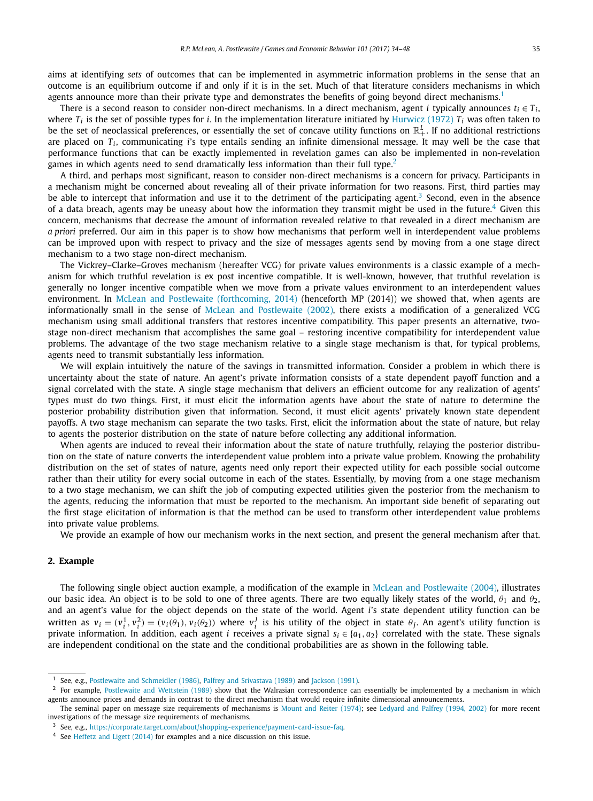<span id="page-1-0"></span>aims at identifying *sets* of outcomes that can be implemented in asymmetric information problems in the sense that an outcome is an equilibrium outcome if and only if it is in the set. Much of that literature considers mechanisms in which agents announce more than their private type and demonstrates the benefits of going beyond direct mechanisms.<sup>1</sup>

There is a second reason to consider non-direct mechanisms. In a direct mechanism, agent *i* typically announces  $t_i \in T_i$ , where  $T_i$  is the set of possible types for *i*. In the implementation literature initiated by [Hurwicz \(1972\)](#page-13-0)  $T_i$  was often taken to be the set of neoclassical preferences, or essentially the set of concave utility functions on  $\R_+^L$ . If no additional restrictions are placed on *Ti* , communicating *i*'s type entails sending an infinite dimensional message. It may well be the case that performance functions that can be exactly implemented in revelation games can also be implemented in non-revelation games in which agents need to send dramatically less information than their full type.<sup>2</sup>

A third, and perhaps most significant, reason to consider non-direct mechanisms is a concern for privacy. Participants in a mechanism might be concerned about revealing all of their private information for two reasons. First, third parties may be able to intercept that information and use it to the detriment of the participating agent.<sup>3</sup> Second, even in the absence of a data breach, agents may be uneasy about how the information they transmit might be used in the future.<sup>4</sup> Given this concern, mechanisms that decrease the amount of information revealed relative to that revealed in a direct mechanism are *a priori* preferred. Our aim in this paper is to show how mechanisms that perform well in interdependent value problems can be improved upon with respect to privacy and the size of messages agents send by moving from a one stage direct mechanism to a two stage non-direct mechanism.

The Vickrey–Clarke–Groves mechanism (hereafter VCG) for private values environments is a classic example of a mechanism for which truthful revelation is ex post incentive compatible. It is well-known, however, that truthful revelation is generally no longer incentive compatible when we move from a private values environment to an interdependent values environment. In McLean and Postlewaite [\(forthcoming,](#page-14-0) 2014) (henceforth MP (2014)) we showed that, when agents are informationally small in the sense of McLean and [Postlewaite \(2002\),](#page-14-0) there exists a modification of a generalized VCG mechanism using small additional transfers that restores incentive compatibility. This paper presents an alternative, twostage non-direct mechanism that accomplishes the same goal – restoring incentive compatibility for interdependent value problems. The advantage of the two stage mechanism relative to a single stage mechanism is that, for typical problems, agents need to transmit substantially less information.

We will explain intuitively the nature of the savings in transmitted information. Consider a problem in which there is uncertainty about the state of nature. An agent's private information consists of a state dependent payoff function and a signal correlated with the state. A single stage mechanism that delivers an efficient outcome for any realization of agents' types must do two things. First, it must elicit the information agents have about the state of nature to determine the posterior probability distribution given that information. Second, it must elicit agents' privately known state dependent payoffs. A two stage mechanism can separate the two tasks. First, elicit the information about the state of nature, but relay to agents the posterior distribution on the state of nature before collecting any additional information.

When agents are induced to reveal their information about the state of nature truthfully, relaying the posterior distribution on the state of nature converts the interdependent value problem into a private value problem. Knowing the probability distribution on the set of states of nature, agents need only report their expected utility for each possible social outcome rather than their utility for every social outcome in each of the states. Essentially, by moving from a one stage mechanism to a two stage mechanism, we can shift the job of computing expected utilities given the posterior from the mechanism to the agents, reducing the information that must be reported to the mechanism. An important side benefit of separating out the first stage elicitation of information is that the method can be used to transform other interdependent value problems into private value problems.

We provide an example of how our mechanism works in the next section, and present the general mechanism after that.

## **2. Example**

The following single object auction example, a modification of the example in McLean and [Postlewaite \(2004\),](#page-14-0) illustrates our basic idea. An object is to be sold to one of three agents. There are two equally likely states of the world, *θ*<sup>1</sup> and *θ*2, and an agent's value for the object depends on the state of the world. Agent *i*'s state dependent utility function can be written as  $v_i = (v_i^1, v_i^2) = (v_i(\theta_1), v_i(\theta_2))$  where  $v_i^j$  is his utility of the object in state  $\theta_j$ . An agent's utility function is private information. In addition, each agent *i* receives a private signal *si* ∈ {*a*1*,a*2} correlated with the state. These signals are independent conditional on the state and the conditional probabilities are as shown in the following table.

<sup>&</sup>lt;sup>1</sup> See, e.g., Postlewaite and [Schmeidler \(1986\),](#page-14-0) Palfrey and [Srivastava \(1989\)](#page-14-0) and [Jackson \(1991\).](#page-13-0)

 $<sup>2</sup>$  For example, Postlewaite and [Wettstein \(1989\)](#page-14-0) show that the Walrasian correspondence can essentially be implemented by a mechanism in which</sup> agents announce prices and demands in contrast to the direct mechanism that would require infinite dimensional announcements.

The seminal paper on message size requirements of mechanisms is Mount and [Reiter \(1974\);](#page-14-0) see [Ledyard](#page-13-0) and Palfrey (1994, 2002) for more recent investigations of the message size requirements of mechanisms.

<sup>3</sup> See, e.g., [https://corporate.target.com/about/shopping-experience/payment-card- issue-faq.](https://corporate.target.com/about/shopping-experience/payment-card-issue-faq)

<sup>4</sup> See Heffetz and [Ligett \(2014\)](#page-13-0) for examples and a nice discussion on this issue.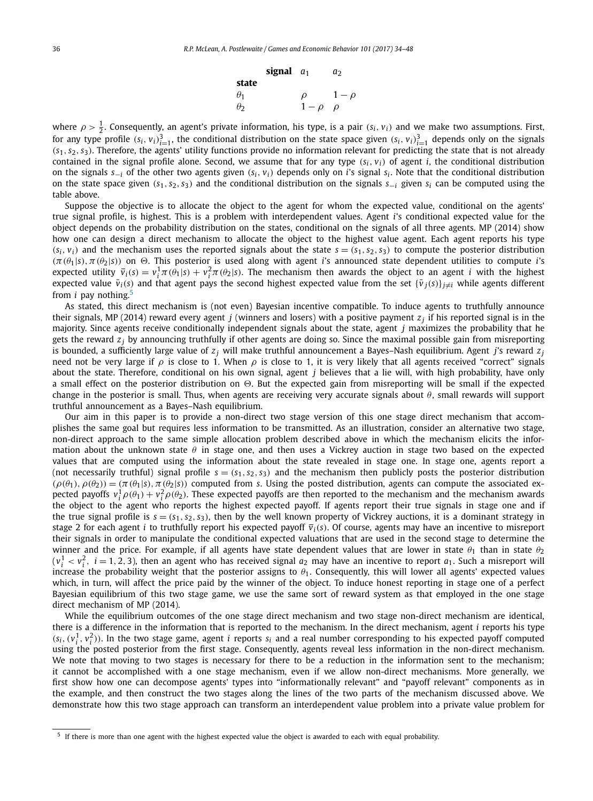|            | signal $a_1$ |          | aэ       |
|------------|--------------|----------|----------|
| state      |              |          |          |
| $\theta_1$ |              | ρ        | $1-\rho$ |
| $\theta_2$ |              | $1-\rho$ | $\rho$   |

where  $\rho > \frac{1}{2}$ . Consequently, an agent's private information, his type, is a pair  $(s_i, v_i)$  and we make two assumptions. First, for any type profile  $(s_i, v_i)_{i=1}^3$ , the conditional distribution on the state space given  $(s_i, v_i)_{i=1}^3$  depends only on the signals *(s*1*, s*2*, s*3*)*. Therefore, the agents' utility functions provide no information relevant for predicting the state that is not already contained in the signal profile alone. Second, we assume that for any type  $(s_i, v_i)$  of agent *i*, the conditional distribution on the signals *s*−*<sup>i</sup>* of the other two agents given *(si, vi)* depends only on *i*'s signal *si* . Note that the conditional distribution on the state space given *(s*1*, s*2*, s*3*)* and the conditional distribution on the signals *s*−*<sup>i</sup>* given *si* can be computed using the table above.

Suppose the objective is to allocate the object to the agent for whom the expected value, conditional on the agents' true signal profile, is highest. This is a problem with interdependent values. Agent *i*'s conditional expected value for the object depends on the probability distribution on the states, conditional on the signals of all three agents. MP (2014) show how one can design a direct mechanism to allocate the object to the highest value agent. Each agent reports his type  $(s_i, v_i)$  and the mechanism uses the reported signals about the state  $s = (s_1, s_2, s_3)$  to compute the posterior distribution *(π(θ*1|*s),π(θ*2|*s))* on . This posterior is used along with agent *i*'s announced state dependent utilities to compute *i*'s expected utility  $\overline{v}_i(s) = v_i^1 \pi(\theta_1|s) + v_i^2 \pi(\theta_2|s)$ . The mechanism then awards the object to an agent *i* with the highest expected value  $\bar{v}_i(s)$  and that agent pays the second highest expected value from the set  ${\bar{v}_i(s)}_{i\neq i}$  while agents different from *i* pay nothing.<sup>5</sup>

As stated, this direct mechanism is (not even) Bayesian incentive compatible. To induce agents to truthfully announce their signals, MP (2014) reward every agent *j* (winners and losers) with a positive payment  $z_i$  if his reported signal is in the majority. Since agents receive conditionally independent signals about the state, agent *j* maximizes the probability that he gets the reward  $z_i$  by announcing truthfully if other agents are doing so. Since the maximal possible gain from misreporting is bounded, a sufficiently large value of  $z_i$  will make truthful announcement a Bayes–Nash equilibrium. Agent *j*'s reward  $z_i$ need not be very large if *ρ* is close to 1. When *ρ* is close to 1, it is very likely that all agents received "correct" signals about the state. Therefore, conditional on his own signal, agent *j* believes that a lie will, with high probability, have only a small effect on the posterior distribution on  $\Theta$ . But the expected gain from misreporting will be small if the expected change in the posterior is small. Thus, when agents are receiving very accurate signals about  $θ$ , small rewards will support truthful announcement as a Bayes–Nash equilibrium.

Our aim in this paper is to provide a non-direct two stage version of this one stage direct mechanism that accomplishes the same goal but requires less information to be transmitted. As an illustration, consider an alternative two stage, non-direct approach to the same simple allocation problem described above in which the mechanism elicits the information about the unknown state *θ* in stage one, and then uses a Vickrey auction in stage two based on the expected values that are computed using the information about the state revealed in stage one. In stage one, agents report a (not necessarily truthful) signal profile  $s = (s_1, s_2, s_3)$  and the mechanism then publicly posts the posterior distribution  $(\rho(\theta_1), \rho(\theta_2)) = (\pi(\theta_1|s), \pi(\theta_2|s))$  computed from *s*. Using the posted distribution, agents can compute the associated expected payoffs  $v_i^1 \rho(\theta_1) + v_i^2 \rho(\theta_2)$ . These expected payoffs are then reported to the mechanism and the mechanism awards the object to the agent who reports the highest expected payoff. If agents report their true signals in stage one and if the true signal profile is  $s = (s_1, s_2, s_3)$ , then by the well known property of Vickrey auctions, it is a dominant strategy in stage 2 for each agent *i* to truthfully report his expected payoff  $\overline{v}_i(s)$ . Of course, agents may have an incentive to misreport their signals in order to manipulate the conditional expected valuations that are used in the second stage to determine the winner and the price. For example, if all agents have state dependent values that are lower in state  $\theta_1$  than in state  $\theta_2$  $(v_i^1 < v_i^2, i = 1, 2, 3)$ , then an agent who has received signal  $a_2$  may have an incentive to report  $a_1$ . Such a misreport will increase the probability weight that the posterior assigns to *θ*1. Consequently, this will lower all agents' expected values which, in turn, will affect the price paid by the winner of the object. To induce honest reporting in stage one of a perfect Bayesian equilibrium of this two stage game, we use the same sort of reward system as that employed in the one stage direct mechanism of MP (2014).

While the equilibrium outcomes of the one stage direct mechanism and two stage non-direct mechanism are identical, there is a difference in the information that is reported to the mechanism. In the direct mechanism, agent *i* reports his type  $(s_i, (v_i^1, v_i^2))$ . In the two stage game, agent *i* reports  $s_i$  and a real number corresponding to his expected payoff computed using the posted posterior from the first stage. Consequently, agents reveal less information in the non-direct mechanism. We note that moving to two stages is necessary for there to be a reduction in the information sent to the mechanism; it cannot be accomplished with a one stage mechanism, even if we allow non-direct mechanisms. More generally, we first show how one can decompose agents' types into "informationally relevant" and "payoff relevant" components as in the example, and then construct the two stages along the lines of the two parts of the mechanism discussed above. We demonstrate how this two stage approach can transform an interdependent value problem into a private value problem for

<sup>5</sup> If there is more than one agent with the highest expected value the object is awarded to each with equal probability.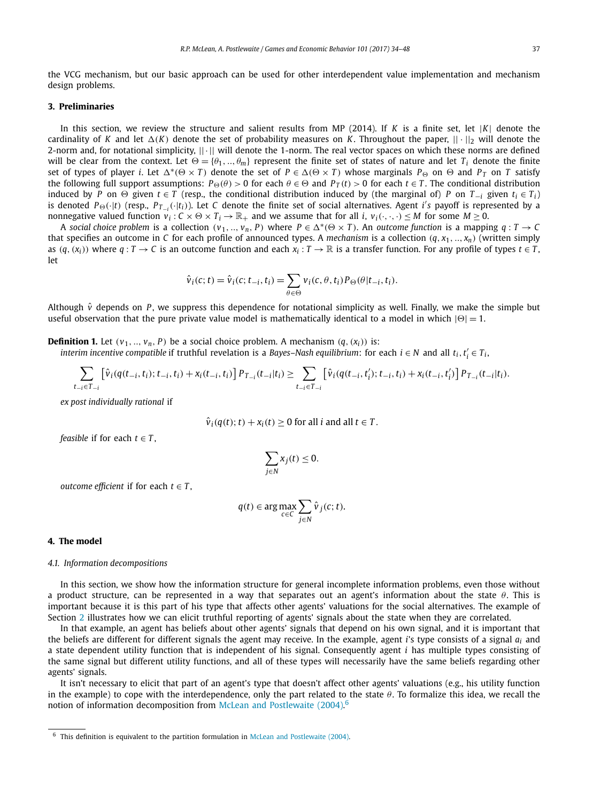<span id="page-3-0"></span>the VCG mechanism, but our basic approach can be used for other interdependent value implementation and mechanism design problems.

# **3. Preliminaries**

In this section, we review the structure and salient results from MP (2014). If *K* is a finite set, let |*K*| denote the cardinality of *K* and let  $\Delta(K)$  denote the set of probability measures on *K*. Throughout the paper,  $|| \cdot ||_2$  will denote the 2-norm and, for notational simplicity, ||·|| will denote the 1-norm. The real vector spaces on which these norms are defined will be clear from the context. Let  $\Theta = {\theta_1, ..., \theta_m}$  represent the finite set of states of nature and let  $T_i$  denote the finite set of types of player *i*. Let  $\Delta^*(\Theta \times T)$  denote the set of  $P \in \Delta(\Theta \times T)$  whose marginals  $P_{\Theta}$  on  $\Theta$  and  $P_T$  on  $T$  satisfy the following full support assumptions:  $P_{\Theta}(\theta) > 0$  for each  $\theta \in \Theta$  and  $P_T(t) > 0$  for each  $t \in T$ . The conditional distribution induced by *P* on  $\Theta$  given  $t \in T$  (resp., the conditional distribution induced by (the marginal of) *P* on  $T_{-i}$  given  $t_i \in T_i$ ) is denoted  $P_{\Theta}(\cdot|t)$  (resp.,  $P_{T_{-i}}(\cdot|t_i)$ ). Let C denote the finite set of social alternatives. Agent *i's* payoff is represented by a nonnegative valued function  $v_i : C \times \Theta \times T_i \to \mathbb{R}_+$  and we assume that for all *i*,  $v_i(\cdot, \cdot, \cdot) \leq M$  for some  $M \geq 0$ .

A social choice problem is a collection  $(v_1, ..., v_n, P)$  where  $P \in \Delta^*(\Theta \times T)$ . An outcome function is a mapping  $q: T \to C$ that specifies an outcome in C for each profile of announced types. A *mechanism* is a collection  $(q, x_1, \ldots, x_n)$  (written simply as  $(q, (x_i))$  where  $q: T \to C$  is an outcome function and each  $x_i: T \to \mathbb{R}$  is a transfer function. For any profile of types  $t \in T$ , let

$$
\hat{v}_i(c;t) = \hat{v}_i(c;t_{-i},t_i) = \sum_{\theta \in \Theta} v_i(c,\theta,t_i) P_{\Theta}(\theta | t_{-i},t_i).
$$

Although  $\hat{v}$  depends on *P*, we suppress this dependence for notational simplicity as well. Finally, we make the simple but useful observation that the pure private value model is mathematically identical to a model in which  $|\Theta| = 1$ .

# **Definition 1.** Let  $(v_1, \ldots, v_n, P)$  be a social choice problem. A mechanism  $(q, (x_i))$  is:

*interim incentive compatible* if truthful revelation is a *Bayes–Nash equilibrium*: for each  $i \in N$  and all  $t_i, t'_i \in T_i$ ,

$$
\sum_{t_{-i}\in T_{-i}} \left[ \hat{v}_i(q(t_{-i},t_i);t_{-i},t_i) + x_i(t_{-i},t_i) \right] P_{T_{-i}}(t_{-i}|t_i) \geq \sum_{t_{-i}\in T_{-i}} \left[ \hat{v}_i(q(t_{-i},t_i');t_{-i},t_i) + x_i(t_{-i},t_i') \right] P_{T_{-i}}(t_{-i}|t_i).
$$

*ex post individually rational* if

$$
\hat{v}_i(q(t);t) + x_i(t) \ge 0
$$
 for all  $i$  and all  $t \in T$ .

*feasible* if for each  $t \in T$ ,

$$
\sum_{j\in N}x_j(t)\leq 0.
$$

*outcome efficient* if for each  $t \in T$ ,

$$
q(t) \in \arg\max_{c \in C} \sum_{j \in N} \hat{v}_j(c; t).
$$

# **4. The model**

#### *4.1. Information decompositions*

In this section, we show how the information structure for general incomplete information problems, even those without a product structure, can be represented in a way that separates out an agent's information about the state *θ* . This is important because it is this part of his type that affects other agents' valuations for the social alternatives. The example of Section [2](#page-1-0) illustrates how we can elicit truthful reporting of agents' signals about the state when they are correlated.

In that example, an agent has beliefs about other agents' signals that depend on his own signal, and it is important that the beliefs are different for different signals the agent may receive. In the example, agent *i*'s type consists of a signal *ai* and a state dependent utility function that is independent of his signal. Consequently agent *i* has multiple types consisting of the same signal but different utility functions, and all of these types will necessarily have the same beliefs regarding other agents' signals.

It isn't necessary to elicit that part of an agent's type that doesn't affect other agents' valuations (e.g., his utility function in the example) to cope with the interdependence, only the part related to the state θ. To formalize this idea, we recall the notion of information decomposition from McLean and [Postlewaite \(2004\).](#page-14-0)<sup>6</sup>

<sup>&</sup>lt;sup>6</sup> This definition is equivalent to the partition formulation in McLean and [Postlewaite \(2004\).](#page-14-0)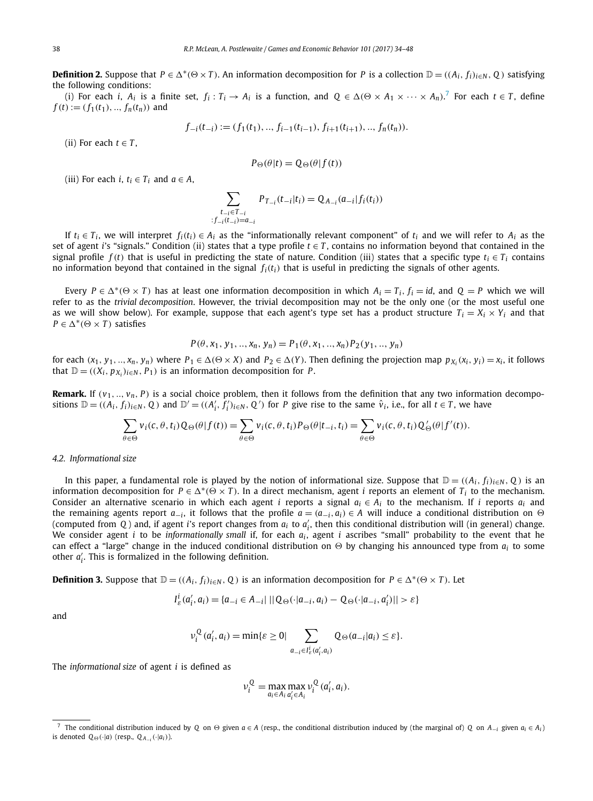**Definition 2.** Suppose that  $P \in \Delta^*(\Theta \times T)$ . An information decomposition for P is a collection  $\mathbb{D} = ((A_i, f_i)_{i \in N}, Q)$  satisfying the following conditions:

(i) For each *i*,  $A_i$  is a finite set,  $f_i: T_i \to A_i$  is a function, and  $Q \in \Delta(\Theta \times A_1 \times \cdots \times A_n)$ .<sup>7</sup> For each  $t \in T$ , define  $f(t) := (f_1(t_1), ..., f_n(t_n))$  and

$$
f_{-i}(t_{-i}) := (f_1(t_1), \dots, f_{i-1}(t_{i-1}), f_{i+1}(t_{i+1}), \dots, f_n(t_n)).
$$

(ii) For each  $t \in T$ ,

$$
P_{\Theta}(\theta|t) = Q_{\Theta}(\theta|f(t))
$$

(iii) For each *i*,  $t_i \in T_i$  and  $a \in A$ ,

$$
\sum_{\substack{t_{-i} \in T_{-i} \\ f_{-i}(t_{-i}) = a_{-i}}} P_{T_{-i}}(t_{-i}|t_i) = Q_{A_{-i}}(a_{-i}|f_i(t_i))
$$

If  $t_i \in T_i$ , we will interpret  $f_i(t_i) \in A_i$  as the "informationally relevant component" of  $t_i$  and we will refer to  $A_i$  as the set of agent *i*'s "signals." Condition (ii) states that a type profile  $t \in T$ , contains no information beyond that contained in the signal profile  $f(t)$  that is useful in predicting the state of nature. Condition (iii) states that a specific type  $t_i \in T_i$  contains no information beyond that contained in the signal  $f_i(t_i)$  that is useful in predicting the signals of other agents.

Every  $P \in \Delta^*(\Theta \times T)$  has at least one information decomposition in which  $A_i = T_i$ ,  $f_i = id$ , and  $Q = P$  which we will refer to as the *trivial decomposition*. However, the trivial decomposition may not be the only one (or the most useful one as we will show below). For example, suppose that each agent's type set has a product structure  $T_i = X_i \times Y_i$  and that  $P \in \Delta^*(\Theta \times T)$  satisfies

$$
P(\theta, x_1, y_1, ..., x_n, y_n) = P_1(\theta, x_1, ..., x_n) P_2(y_1, ..., y_n)
$$

for each  $(x_1, y_1, ..., x_n, y_n)$  where  $P_1 \in \Delta(\Theta \times X)$  and  $P_2 \in \Delta(Y)$ . Then defining the projection map  $p_{X_i}(x_i, y_i) = x_i$ , it follows that  $\mathbb{D} = ((X_i, p_{X_i})_{i \in N}, P_1)$  is an information decomposition for *P*.

**Remark.** If  $(v_1, ..., v_n, P)$  is a social choice problem, then it follows from the definition that any two information decompositions  $\mathbb{D} = ((A_i, f_i)_{i \in N}, Q)$  and  $\mathbb{D}' = ((A'_i, f'_i)_{i \in N}, Q')$  for P give rise to the same  $\hat{v}_i$ , i.e., for all  $t \in T$ , we have

$$
\sum_{\theta \in \Theta} v_i(c, \theta, t_i) Q_{\Theta}(\theta | f(t)) = \sum_{\theta \in \Theta} v_i(c, \theta, t_i) P_{\Theta}(\theta | t_{-i}, t_i) = \sum_{\theta \in \Theta} v_i(c, \theta, t_i) Q_{\Theta}'(\theta | f'(t)).
$$

#### *4.2. Informational size*

In this paper, a fundamental role is played by the notion of informational size. Suppose that  $\mathbb{D} = ((A_i, f_i)_{i \in N}, Q)$  is an information decomposition for  $P \in \Delta^*(\Theta \times T)$ . In a direct mechanism, agent *i* reports an element of  $T_i$  to the mechanism. Consider an alternative scenario in which each agent *i* reports a signal  $a_i \in A_i$  to the mechanism. If *i* reports  $a_i$  and the remaining agents report  $a_{-i}$ , it follows that the profile  $a = (a_{-i}, a_i) \in A$  will induce a conditional distribution on  $\Theta$ (computed from *<sup>Q</sup>* ) and, if agent *<sup>i</sup>*'s report changes from *ai* to *<sup>a</sup> i* , then this conditional distribution will (in general) change. We consider agent *i* to be *informationally small* if, for each *ai* , agent *i* ascribes "small" probability to the event that he can effect a "large" change in the induced conditional distribution on  $\Theta$  by changing his announced type from  $a_i$  to some other  $a'_i$ . This is formalized in the following definition.

**Definition 3.** Suppose that  $\mathbb{D} = ((A_i, f_i)_{i \in \mathbb{N}}, Q)$  is an information decomposition for  $P \in \Delta^*(\Theta \times T)$ . Let

$$
I_{\varepsilon}^{i}(a'_{i}, a_{i}) = \{a_{-i} \in A_{-i} | ||Q_{\Theta}(\cdot|a_{-i}, a_{i}) - Q_{\Theta}(\cdot|a_{-i}, a'_{i})|| > \varepsilon\}
$$

and

$$
\nu_i^{\mathcal{Q}}(a'_i, a_i) = \min\{\varepsilon \geq 0 \mid \sum_{a_{-i} \in I_{\varepsilon}^i(a'_i, a_i)} Q_{\Theta}(a_{-i}|a_i) \leq \varepsilon\}.
$$

The *informational size* of agent *i* is defined as

$$
v_i^Q = \max_{a_i \in A_i} \max_{a'_i \in A_i} v_i^Q(a'_i, a_i).
$$

The conditional distribution induced by *Q* on  $\Theta$  given *a* ∈ *A* (resp., the conditional distribution induced by (the marginal of) *Q* on *A*<sub>−*i*</sub> given *a<sub>i</sub>* ∈ *A<sub>i</sub>*) is denoted  $Q_{\Theta}(\cdot|a)$  (resp.,  $Q_{A_{-i}}(\cdot|a_i)$ ).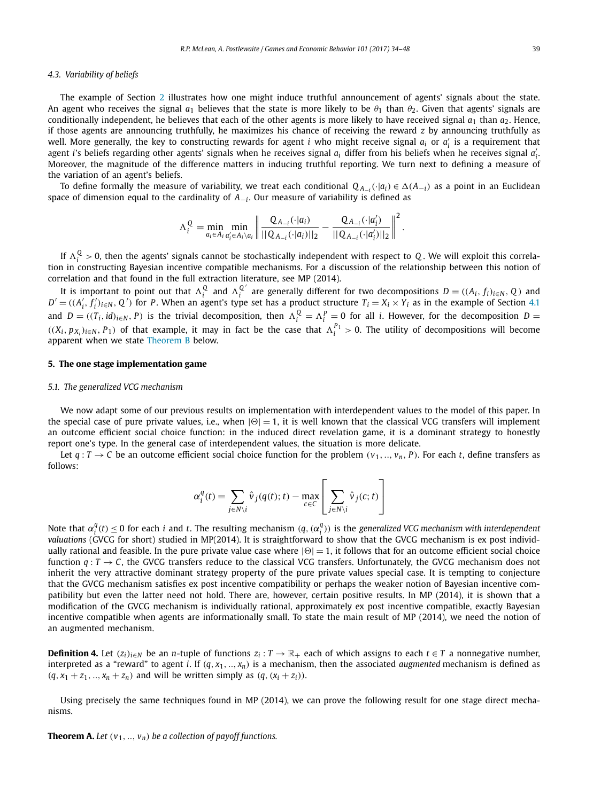### <span id="page-5-0"></span>*4.3. Variability of beliefs*

The example of Section [2](#page-1-0) illustrates how one might induce truthful announcement of agents' signals about the state. An agent who receives the signal  $a_1$  believes that the state is more likely to be  $\theta_1$  than  $\theta_2$ . Given that agents' signals are conditionally independent, he believes that each of the other agents is more likely to have received signal  $a_1$  than  $a_2$ . Hence, if those agents are announcing truthfully, he maximizes his chance of receiving the reward *z* by announcing truthfully as well. More generally, the key to constructing rewards for agent *<sup>i</sup>* who might receive signal *ai* or *<sup>a</sup> <sup>i</sup>* is a requirement that agent *<sup>i</sup>*'s beliefs regarding other agents' signals when he receives signal *ai* differ from his beliefs when he receives signal *<sup>a</sup> i* . Moreover, the magnitude of the difference matters in inducing truthful reporting. We turn next to defining a measure of the variation of an agent's beliefs.

To define formally the measure of variability, we treat each conditional  $Q_{A_{-i}}(\cdot|a_i) \in \Delta(A_{-i})$  as a point in an Euclidean space of dimension equal to the cardinality of *A*−*<sup>i</sup>* . Our measure of variability is defined as

$$
\Lambda_i^{\mathcal{Q}} = \min_{a_i \in A_i} \min_{a'_i \in A_i \setminus a_i} \left\| \frac{Q_{A_{-i}}(\cdot | a_i)}{||Q_{A_{-i}}(\cdot | a_i)||_2} - \frac{Q_{A_{-i}}(\cdot | a'_i)}{||Q_{A_{-i}}(\cdot | a'_i)||_2} \right\|^2
$$

*.*

If  $\Lambda_i^Q > 0$ , then the agents' signals cannot be stochastically independent with respect to  $Q$ . We will exploit this correlation in constructing Bayesian incentive compatible mechanisms. For a discussion of the relationship between this notion of  $\mathbb{R}^n$ correlation and that found in the full extraction literature, see MP (2014).

It is important to point out that  $\Lambda_i^Q$  and  $\Lambda_i^{Q'}$  are generally different for two decompositions  $D=((A_i,f_i)_{i\in N},Q)$  and  $D' = ((A'_i, f'_i)_{i \in N}, Q')$  for P. When an agent's type set has a product structure  $T_i = X_i \times Y_i$  as in the example of Section [4.1](#page-3-0) and  $D=((T_i,id)_{i\in N},P)$  is the trivial decomposition, then  $\Lambda_i^Q=\Lambda_i^P=0$  for all *i*. However, for the decomposition  $D=0$  $((X_i, p_{X_i})_{i \in N}, P_1)$  of that example, it may in fact be the case that  $\Lambda_i^{P_1} > 0$ . The utility of decompositions will become apparent when we state [Theorem B](#page-8-0) below.

#### **5. The one stage implementation game**

#### *5.1. The generalized VCG mechanism*

We now adapt some of our previous results on implementation with interdependent values to the model of this paper. In the special case of pure private values, i.e., when  $|\Theta| = 1$ , it is well known that the classical VCG transfers will implement an outcome efficient social choice function: in the induced direct revelation game, it is a dominant strategy to honestly report one's type. In the general case of interdependent values, the situation is more delicate.

Let  $q: T \to C$  be an outcome efficient social choice function for the problem  $(v_1, ..., v_n, P)$ . For each *t*, define transfers as follows:

$$
\alpha_i^q(t) = \sum_{j \in N \setminus i} \hat{v}_j(q(t); t) - \max_{c \in C} \left[ \sum_{j \in N \setminus i} \hat{v}_j(c; t) \right]
$$

Note that  $\alpha_i^q(t)\leq 0$  for each i and t. The resulting mechanism  $(q,(\alpha_i^q))$  is the generalized VCG mechanism with interdependent *valuations* (GVCG for short) studied in MP(2014). It is straightforward to show that the GVCG mechanism is ex post individually rational and feasible. In the pure private value case where  $|\Theta| = 1$ , it follows that for an outcome efficient social choice function  $q: T \to C$ , the GVCG transfers reduce to the classical VCG transfers. Unfortunately, the GVCG mechanism does not inherit the very attractive dominant strategy property of the pure private values special case. It is tempting to conjecture that the GVCG mechanism satisfies ex post incentive compatibility or perhaps the weaker notion of Bayesian incentive compatibility but even the latter need not hold. There are, however, certain positive results. In MP (2014), it is shown that a modification of the GVCG mechanism is individually rational, approximately ex post incentive compatible, exactly Bayesian incentive compatible when agents are informationally small. To state the main result of MP (2014), we need the notion of an augmented mechanism.

**Definition 4.** Let  $(z_i)_{i\in\mathbb{N}}$  be an *n*-tuple of functions  $z_i: T \to \mathbb{R}_+$  each of which assigns to each  $t \in T$  a nonnegative number, interpreted as a "reward" to agent *i*. If  $(q, x_1, \ldots, x_n)$  is a mechanism, then the associated *augmented* mechanism is defined as  $(q, x_1 + z_1, \ldots, x_n + z_n)$  and will be written simply as  $(q, (x_i + z_i))$ .

Using precisely the same techniques found in MP (2014), we can prove the following result for one stage direct mechanisms.

**Theorem A.** Let  $(v_1, ..., v_n)$  be a collection of payoff functions.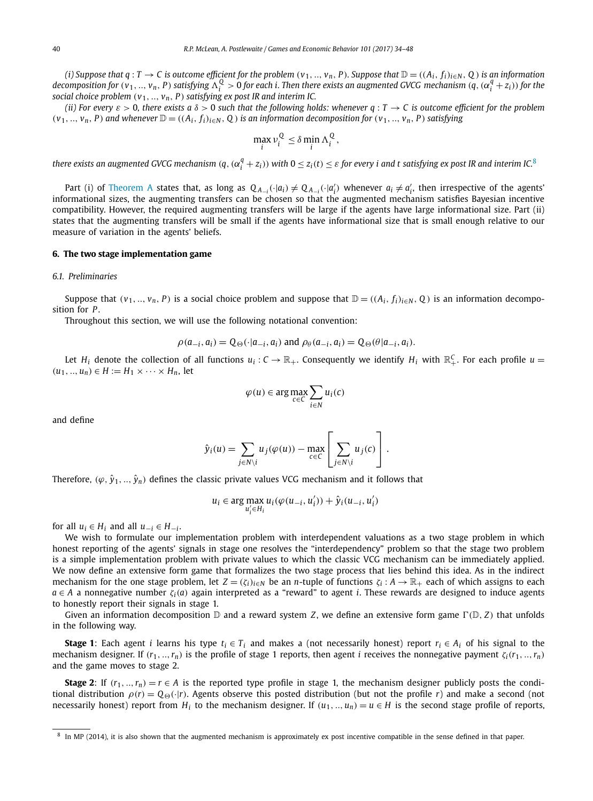(i) Suppose that  $q: T \to C$  is outcome efficient for the problem  $(v_1, ..., v_n, P)$ . Suppose that  $\mathbb{D} = ((A_i, f_i)_{i \in N}, Q)$  is an information decomposition for  $(v_1, ..., v_n, P)$  satisfying  $\Lambda_i^Q > 0$  for each i. Then there exists an augmented GVCG mechanism  $(q, (\alpha_i^q + z_i))$  for the *social choice problem*  $(v_1, ..., v_n, P)$  *satisfying ex post IR and interim IC.* 

(ii) For every  $\varepsilon > 0$ , there exists a  $\delta > 0$  such that the following holds: whenever  $q: T \to C$  is outcome efficient for the problem  $(v_1, ..., v_n, P)$  and whenever  $\mathbb{D} = ((A_i, f_i)_{i \in N}, Q)$  is an information decomposition for  $(v_1, ..., v_n, P)$  satisfying

$$
\max_i v_i^Q \le \delta \min_i \Lambda_i^Q,
$$

there exists an augmented GVCG mechanism  $(q,(\alpha^q_i+z_i))$  with  $0\leq z_i(t)\leq\varepsilon$  for every  $i$  and  $t$  satisfying ex post IR and interim IC. $^8$ 

Part (i) of [Theorem A](#page-5-0) states that, as long as  $Q_{A_{-i}}(\cdot|a_i) \neq Q_{A_{-i}}(\cdot|a'_i)$  whenever  $a_i \neq a'_i$ , then irrespective of the agents informational sizes, the augmenting transfers can be chosen so that the augmented mechanism satisfies Bayesian incentive compatibility. However, the required augmenting transfers will be large if the agents have large informational size. Part (ii) states that the augmenting transfers will be small if the agents have informational size that is small enough relative to our measure of variation in the agents' beliefs.

### **6. The two stage implementation game**

#### *6.1. Preliminaries*

Suppose that  $(v_1, ..., v_n, P)$  is a social choice problem and suppose that  $\mathbb{D} = ((A_i, f_i)_{i \in N}, Q)$  is an information decomposition for *P* .

Throughout this section, we will use the following notational convention:

$$
\rho(a_{-i}, a_i) = Q_{\Theta}(\cdot | a_{-i}, a_i) \text{ and } \rho_{\theta}(a_{-i}, a_i) = Q_{\Theta}(\theta | a_{-i}, a_i).
$$

Let  $H_i$  denote the collection of all functions  $u_i: C \to \mathbb{R}_+$ . Consequently we identify  $H_i$  with  $\mathbb{R}^{\mathcal{C}}_+$ . For each profile  $u=$  $(u_1, ..., u_n)$  ∈ *H* := *H*<sub>1</sub> × ···× *H<sub>n</sub>*, let

$$
\varphi(u) \in \arg\max_{c \in C} \sum_{i \in N} u_i(c)
$$

and define

$$
\hat{y}_i(u) = \sum_{j \in N \setminus i} u_j(\varphi(u)) - \max_{c \in C} \left[ \sum_{j \in N \setminus i} u_j(c) \right].
$$

Therefore,  $(\varphi, \hat{y}_1, \dots, \hat{y}_n)$  defines the classic private values VCG mechanism and it follows that

$$
u_i \in \arg \max_{u'_i \in H_i} u_i(\varphi(u_{-i}, u'_i)) + \hat{y}_i(u_{-i}, u'_i)
$$

for all  $u_i \in H_i$  and all  $u_{-i} \in H_{-i}$ .

We wish to formulate our implementation problem with interdependent valuations as a two stage problem in which honest reporting of the agents' signals in stage one resolves the "interdependency" problem so that the stage two problem is a simple implementation problem with private values to which the classic VCG mechanism can be immediately applied. We now define an extensive form game that formalizes the two stage process that lies behind this idea. As in the indirect mechanism for the one stage problem, let  $Z = (\zeta_i)_{i \in N}$  be an *n*-tuple of functions  $\zeta_i : A \to \mathbb{R}_+$  each of which assigns to each *a* ∈ *A* a nonnegative number *ζi(a)* again interpreted as a "reward" to agent *i*. These rewards are designed to induce agents to honestly report their signals in stage 1.

Given an information decomposition  $\mathbb D$  and a reward system *Z*, we define an extensive form game  $\Gamma(\mathbb D, Z)$  that unfolds in the following way.

**Stage** 1: Each agent *i* learns his type  $t_i \in T_i$  and makes a (not necessarily honest) report  $r_i \in A_i$  of his signal to the mechanism designer. If  $(r_1, ..., r_n)$  is the profile of stage 1 reports, then agent *i* receives the nonnegative payment  $\zeta_i(r_1, ..., r_n)$ and the game moves to stage 2.

**Stage 2**: If  $(r_1, ..., r_n) = r ∈ A$  is the reported type profile in stage 1, the mechanism designer publicly posts the conditional distribution  $\rho(r) = Q_{\Theta}(\cdot|r)$ . Agents observe this posted distribution (but not the profile *r*) and make a second (not necessarily honest) report from  $H_i$  to the mechanism designer. If  $(u_1, ..., u_n) = u \in H$  is the second stage profile of reports,

<sup>8</sup> In MP (2014), it is also shown that the augmented mechanism is approximately ex post incentive compatible in the sense defined in that paper.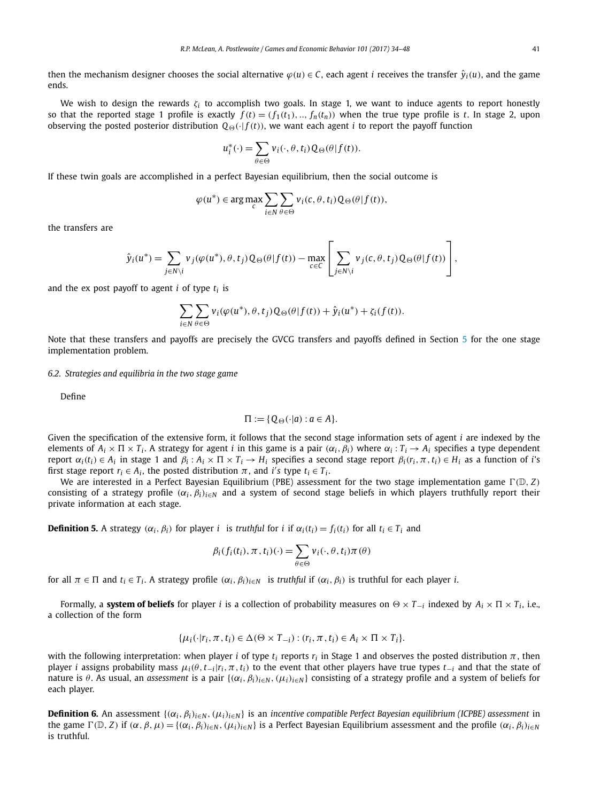then the mechanism designer chooses the social alternative  $\varphi(u) \in C$ , each agent *i* receives the transfer  $\hat{y}_i(u)$ , and the game ends.

We wish to design the rewards *ζ<sup>i</sup>* to accomplish two goals. In stage 1, we want to induce agents to report honestly so that the reported stage 1 profile is exactly  $f(t) = (f_1(t_1),..., f_n(t_n))$  when the true type profile is *t*. In stage 2, upon observing the posted posterior distribution  $Q_{\Theta}(\cdot|f(t))$ , we want each agent *i* to report the payoff function

$$
u_i^*(\cdot) = \sum_{\theta \in \Theta} v_i(\cdot, \theta, t_i) Q_{\Theta}(\theta | f(t)).
$$

If these twin goals are accomplished in a perfect Bayesian equilibrium, then the social outcome is

$$
\varphi(u^*) \in \arg\max_{c} \sum_{i \in N} \sum_{\theta \in \Theta} v_i(c, \theta, t_i) Q_{\Theta}(\theta | f(t)),
$$

the transfers are

$$
\hat{y}_i(u^*) = \sum_{j \in N \setminus i} v_j(\varphi(u^*), \theta, t_j) Q_{\Theta}(\theta | f(t)) - \max_{c \in C} \left[ \sum_{j \in N \setminus i} v_j(c, \theta, t_j) Q_{\Theta}(\theta | f(t)) \right],
$$

and the ex post payoff to agent  $i$  of type  $t_i$  is

$$
\sum_{i\in\mathbb{N}}\sum_{\theta\in\Theta}v_i(\varphi(u^*),\theta,t_j)Q_{\Theta}(\theta|f(t))+\hat{y}_i(u^*)+\zeta_i(f(t)).
$$

Note that these transfers and payoffs are precisely the GVCG transfers and payoffs defined in Section [5](#page-5-0) for the one stage implementation problem.

### *6.2. Strategies and equilibria in the two stage game*

Define

$$
\Pi := \{Q_{\Theta}(\cdot | a) : a \in A\}.
$$

Given the specification of the extensive form, it follows that the second stage information sets of agent *i* are indexed by the elements of  $A_i \times \Pi \times T_i$ . A strategy for agent *i* in this game is a pair  $(\alpha_i, \beta_i)$  where  $\alpha_i : T_i \to A_i$  specifies a type dependent report  $\alpha_i(t_i) \in A_i$  in stage 1 and  $\beta_i : A_i \times \Pi \times T_i \to H_i$  specifies a second stage report  $\beta_i(r_i, \pi, t_i) \in H_i$  as a function of *i*'s first stage report  $r_i \in A_i$ , the posted distribution  $\pi$ , and *i*'s type  $t_i \in T_i$ .

We are interested in a Perfect Bayesian Equilibrium (PBE) assessment for the two stage implementation game  $\Gamma(\mathbb{D}, Z)$ consisting of a strategy profile  $(\alpha_i, \beta_i)_{i \in N}$  and a system of second stage beliefs in which players truthfully report their private information at each stage.

**Definition 5.** A strategy  $(\alpha_i, \beta_i)$  for player i is truthful for i if  $\alpha_i(t_i) = f_i(t_i)$  for all  $t_i \in T_i$  and

$$
\beta_i(f_i(t_i), \pi, t_i)(\cdot) = \sum_{\theta \in \Theta} v_i(\cdot, \theta, t_i) \pi(\theta)
$$

for all  $\pi \in \Pi$  and  $t_i \in T_i$ . A strategy profile  $(\alpha_i, \beta_i)_{i \in N}$  is truthful if  $(\alpha_i, \beta_i)$  is truthful for each player i.

Formally, a **system of beliefs** for player *i* is a collection of probability measures on  $\Theta \times T_{-i}$  indexed by  $A_i \times \Pi \times T_i$ , i.e., a collection of the form

$$
\{\mu_i(\cdot|r_i,\pi,t_i)\in\Delta(\Theta\times T_{-i}):(r_i,\pi,t_i)\in A_i\times\Pi\times T_i\}.
$$

with the following interpretation: when player *i* of type  $t_i$  reports  $r_i$  in Stage 1 and observes the posted distribution  $\pi$ , then player *i* assigns probability mass  $\mu_i(\theta, t_{-i}|r_i, \pi, t_i)$  to the event that other players have true types  $t_{-i}$  and that the state of nature is  $\theta$ . As usual, an assessment is a pair  $\{(\alpha_i, \beta_i)_{i \in N}, (\mu_i)_{i \in N}\}$  consisting of a strategy profile and a system of beliefs for each player.

**Definition 6.** An assessment  $\{(\alpha_i, \beta_i)_{i \in N}, (\mu_i)_{i \in N}\}\)$  is an incentive compatible Perfect Bayesian equilibrium (ICPBE) assessment in the game  $\Gamma(\mathbb{D}, Z)$  if  $(\alpha, \beta, \mu) = \{(\alpha_i, \beta_i)_{i \in N}, (\mu_i)_{i \in N}\}\$ is a Perfect Bayesian Equilibrium assessment and the profile  $(\alpha_i, \beta_i)_{i \in N}\}$ is truthful.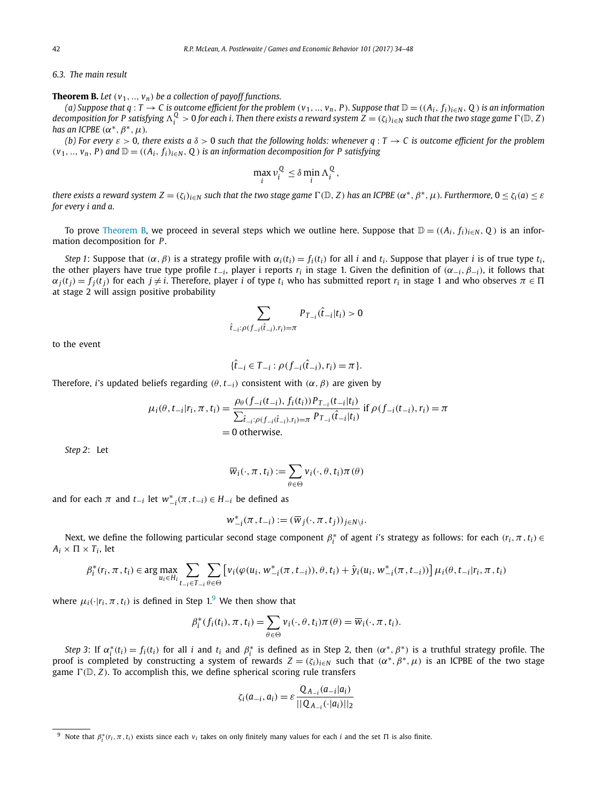<span id="page-8-0"></span>*6.3. The main result*

**Theorem B.** *Let*  $(v_1, ..., v_n)$  *be a collection of payoff functions.* 

(a) Suppose that  $q: T \to C$  is outcome efficient for the problem  $(v_1, ..., v_n, P)$ . Suppose that  $\mathbb{D} = ((A_i, f_i)_{i \in N}, Q)$  is an information decomposition for P satisfying  $\Lambda^Q_i > 0$  for each i. Then there exists a reward system  $Z=(\zeta_i)_{i\in N}$  such that the two stage game  $\Gamma(\mathbb{D},Z)$ *has an ICPBE*  $(\alpha^*, \beta^*, \mu)$ *.* 

(b) For every  $\varepsilon > 0$ , there exists a  $\delta > 0$  such that the following holds: whenever  $q: T \to C$  is outcome efficient for the problem  $(v_1, ..., v_n, P)$  and  $\mathbb{D} = ((A_i, f_i)_{i \in N}, Q)$  is an information decomposition for P satisfying

$$
\max_i v_i^Q \le \delta \min_i \Lambda_i^Q,
$$

there exists a reward system  $Z = (\zeta_i)_{i \in \mathbb{N}}$  such that the two stage game  $\Gamma(\mathbb{D}, Z)$  has an ICPBE  $(\alpha^*, \beta^*, \mu)$ . Furthermore,  $0 \le \zeta_i(a) \le \varepsilon$ *for every i and a.*

To prove Theorem B, we proceed in several steps which we outline here. Suppose that  $\mathbb{D} = ((A_i, f_i)_{i \in N}, 0)$  is an information decomposition for *P* .

Step 1: Suppose that  $(\alpha, \beta)$  is a strategy profile with  $\alpha_i(t_i) = f_i(t_i)$  for all i and  $t_i$ . Suppose that player i is of true type  $t_i$ , the other players have true type profile  $t_{-i}$ , player i reports  $r_i$  in stage 1. Given the definition of  $(\alpha_{-i}, \beta_{-i})$ , it follows that  $\alpha_i(t_i) = f_i(t_i)$  for each  $j \neq i$ . Therefore, player i of type  $t_i$  who has submitted report  $r_i$  in stage 1 and who observes  $\pi \in \Pi$ at stage 2 will assign positive probability

$$
\sum_{\hat{t}_{-i}: \rho(f_{-i}(\hat{t}_{-i}), r_i) = \pi} P_{T_{-i}}(\hat{t}_{-i} | t_i) > 0
$$

to the event

$$
\{\hat{t}_{-i} \in T_{-i} : \rho(f_{-i}(\hat{t}_{-i}), r_i) = \pi\}.
$$

Therefore, *i*'s updated beliefs regarding  $(\theta, t_{-i})$  consistent with  $(\alpha, \beta)$  are given by

$$
\mu_i(\theta, t_{-i}|r_i, \pi, t_i) = \frac{\rho_\theta(f_{-i}(t_{-i}), f_i(t_i)) P_{T_{-i}}(t_{-i}|t_i)}{\sum_{\hat{t}_{-i}:\rho(f_{-i}(\hat{t}_{-i}), r_i) = \pi} P_{T_{-i}}(\hat{t}_{-i}|t_i)} \text{ if } \rho(f_{-i}(t_{-i}), r_i) = \pi
$$
  
= 0 otherwise.

*Step 2*: Let

$$
\overline{w}_i(\cdot, \pi, t_i) := \sum_{\theta \in \Theta} v_i(\cdot, \theta, t_i) \pi(\theta)
$$

and for each  $\pi$  and  $t_{-i}$  let  $w^*_{-i}(\pi, t_{-i}) \in H_{-i}$  be defined as

$$
w_{-i}^*(\pi, t_{-i}) := (\overline{w}_j(\cdot, \pi, t_j))_{j \in N \setminus i}.
$$

Next, we define the following particular second stage component  $\beta_i^*$  of agent *i*'s strategy as follows: for each  $(r_i, \pi, t_i) \in$  $A_i \times \Pi \times T_i$ , let

$$
\beta_i^*(r_i, \pi, t_i) \in \arg \max_{u_i \in H_i} \sum_{t_{-i} \in T_{-i}} \sum_{\theta \in \Theta} \left[ v_i(\varphi(u_i, w_{-i}^*(\pi, t_{-i})), \theta, t_i) + \hat{y}_i(u_i, w_{-i}^*(\pi, t_{-i})) \right] \mu_i(\theta, t_{-i} | r_i, \pi, t_i)
$$

where  $\mu_i(\cdot|\mathbf{r}_i, \pi, \mathbf{t}_i)$  is defined in Step 1.<sup>9</sup> We then show that

$$
\beta_i^*(f_i(t_i), \pi, t_i) = \sum_{\theta \in \Theta} v_i(\cdot, \theta, t_i) \pi(\theta) = \overline{w}_i(\cdot, \pi, t_i).
$$

Step 3: If  $\alpha_i^*(t_i) = f_i(t_i)$  for all i and  $t_i$  and  $\beta_i^*$  is defined as in Step 2, then  $(\alpha^*, \beta^*)$  is a truthful strategy profile. The proof is completed by constructing a system of rewards  $Z = (\zeta_i)_{i \in N}$  such that  $(\alpha^*, \beta^*, \mu)$  is an ICPBE of the two stage game  $\Gamma(\mathbb{D}, Z)$ . To accomplish this, we define spherical scoring rule transfers

$$
\zeta_i(a_{-i}, a_i) = \varepsilon \frac{Q_{A_{-i}}(a_{-i}|a_i)}{||Q_{A_{-i}}(\cdot|a_i)||_2}
$$

<sup>&</sup>lt;sup>9</sup> Note that  $β_i^*(r_i, π, t_i)$  exists since each  $v_i$  takes on only finitely many values for each *i* and the set Π is also finite.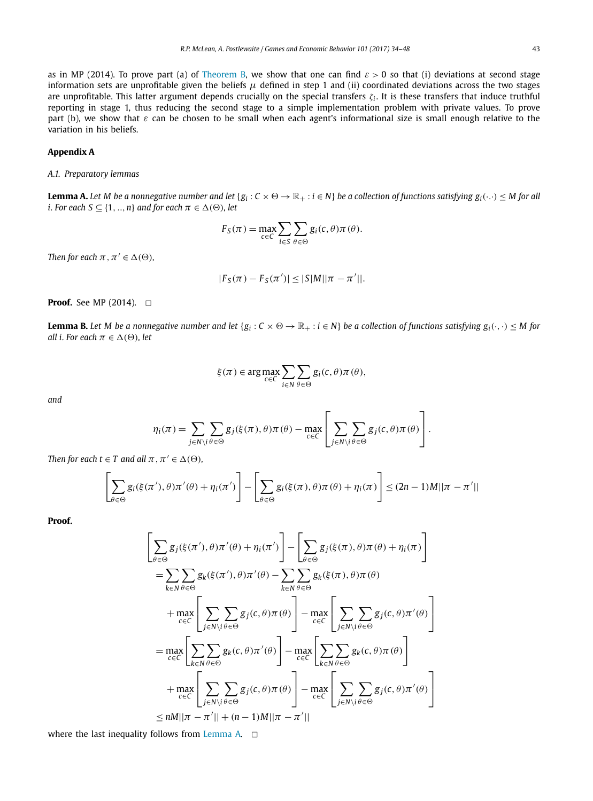as in MP (2014). To prove part (a) of [Theorem B,](#page-8-0) we show that one can find *ε >* 0 so that (i) deviations at second stage information sets are unprofitable given the beliefs *μ* defined in step 1 and (ii) coordinated deviations across the two stages are unprofitable. This latter argument depends crucially on the special transfers  $\zeta_i$ . It is these transfers that induce truthful reporting in stage 1, thus reducing the second stage to a simple implementation problem with private values. To prove part (b), we show that *ε* can be chosen to be small when each agent's informational size is small enough relative to the variation in his beliefs.

# **Appendix A**

# *A.1. Preparatory lemmas*

**Lemma A.** Let M be a nonnegative number and let { $g_i: C \times \Theta \to \mathbb{R}_+ : i \in \mathbb{N}$ } be a collection of functions satisfying  $g_i(\cdot) \leq M$  for all *i.* For each  $S \subseteq \{1, ..., n\}$  and for each  $\pi \in \Delta(\Theta)$ , let

$$
F_S(\pi) = \max_{c \in C} \sum_{i \in S} \sum_{\theta \in \Theta} g_i(c, \theta) \pi(\theta).
$$

*Then for each*  $\pi, \pi' \in \Delta(\Theta)$ *,* 

$$
|F_S(\pi) - F_S(\pi')| \le |S|M| |\pi - \pi'||.
$$

**Proof.** See MP (2014).  $\Box$ 

**Lemma B.** Let M be a nonnegative number and let {g<sub>i</sub>:  $C \times \Theta \rightarrow \mathbb{R}_+ : i \in \mathbb{N}$ } be a collection of functions satisfying  $g_i(\cdot, \cdot) \leq M$  for *all i. For each*  $\pi \in \Delta(\Theta)$ *, let* 

$$
\xi(\pi) \in \arg\max_{c \in C} \sum_{i \in N} \sum_{\theta \in \Theta} g_i(c, \theta) \pi(\theta),
$$

*and*

$$
\eta_i(\pi) = \sum_{j \in N \setminus i} \sum_{\theta \in \Theta} g_j(\xi(\pi), \theta) \pi(\theta) - \max_{c \in C} \left[ \sum_{j \in N \setminus i} \sum_{\theta \in \Theta} g_j(c, \theta) \pi(\theta) \right].
$$

*Then for each*  $t \in T$  *and all*  $\pi, \pi' \in \Delta(\Theta)$ *,* 

$$
\left[\sum_{\theta \in \Theta} g_i(\xi(\pi'), \theta) \pi'(\theta) + \eta_i(\pi')\right] - \left[\sum_{\theta \in \Theta} g_i(\xi(\pi), \theta) \pi(\theta) + \eta_i(\pi)\right] \leq (2n - 1)M||\pi - \pi'||
$$

**Proof.**

$$
\left[\sum_{\theta \in \Theta} g_j(\xi(\pi'), \theta) \pi'(\theta) + \eta_i(\pi')\right] - \left[\sum_{\theta \in \Theta} g_j(\xi(\pi), \theta) \pi(\theta) + \eta_i(\pi)\right]
$$
\n
$$
= \sum_{k \in \mathbb{N}} \sum_{\theta \in \Theta} g_k(\xi(\pi'), \theta) \pi'(\theta) - \sum_{k \in \mathbb{N}} \sum_{\theta \in \Theta} g_k(\xi(\pi), \theta) \pi(\theta)
$$
\n
$$
+ \max_{c \in C} \left[\sum_{j \in \mathbb{N} \setminus i} \sum_{\theta \in \Theta} g_j(c, \theta) \pi(\theta)\right] - \max_{c \in C} \left[\sum_{j \in \mathbb{N} \setminus i} \sum_{\theta \in \Theta} g_j(c, \theta) \pi'(\theta)\right]
$$
\n
$$
= \max_{c \in C} \left[\sum_{k \in \mathbb{N}} \sum_{\theta \in \Theta} g_k(c, \theta) \pi'(\theta)\right] - \max_{c \in C} \left[\sum_{k \in \mathbb{N}} \sum_{\theta \in \Theta} g_k(c, \theta) \pi(\theta)\right]
$$
\n
$$
+ \max_{c \in C} \left[\sum_{j \in \mathbb{N} \setminus i} \sum_{\theta \in \Theta} g_j(c, \theta) \pi(\theta)\right] - \max_{c \in C} \left[\sum_{j \in \mathbb{N} \setminus i} \sum_{\theta \in \Theta} g_j(c, \theta) \pi'(\theta)\right]
$$
\n
$$
\leq nM || \pi - \pi' || + (n - 1)M || \pi - \pi' ||
$$

where the last inequality follows from Lemma A.  $\Box$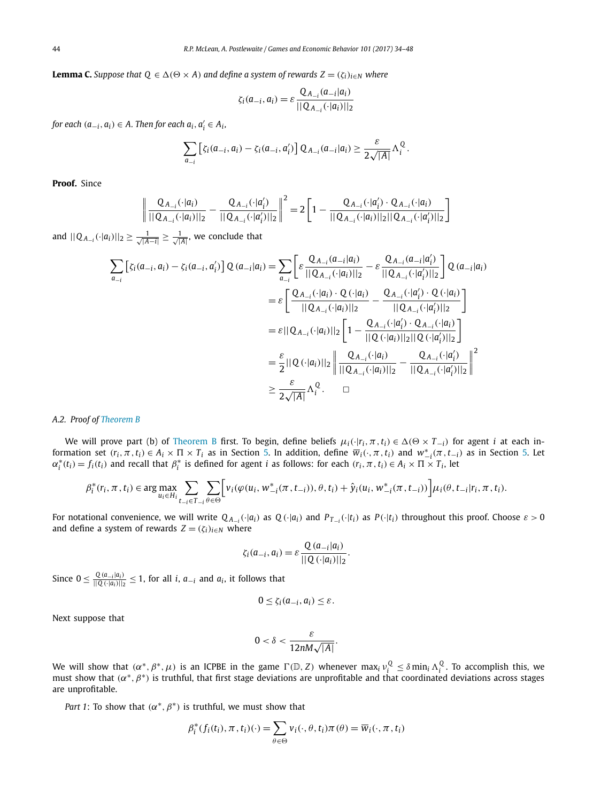<span id="page-10-0"></span>**Lemma C.** Suppose that  $Q \in \Delta(\Theta \times A)$  and define a system of rewards  $Z = (\zeta_i)_{i \in N}$  where

$$
\zeta_i(a_{-i}, a_i) = \varepsilon \frac{Q_{A_{-i}}(a_{-i}|a_i)}{||Q_{A_{-i}}(\cdot|a_i)||_2}
$$

*for each*  $(a_{-i}, a_i) \in A$ *. Then for each*  $a_i, a'_i \in A_i$ *,* 

$$
\sum_{a_{-i}} \left[ \zeta_i(a_{-i}, a_i) - \zeta_i(a_{-i}, a'_i) \right] Q_{A_{-i}}(a_{-i}|a_i) \geq \frac{\varepsilon}{2\sqrt{|A|}} \Lambda_i^Q.
$$

**Proof.** Since

$$
\left\| \frac{Q_{A_{-i}}(\cdot|a_i)}{||Q_{A_{-i}}(\cdot|a_i)||_2} - \frac{Q_{A_{-i}}(\cdot|a'_i)}{||Q_{A_{-i}}(\cdot|a'_i)||_2} \right\|^2 = 2\left[1 - \frac{Q_{A_{-i}}(\cdot|a'_i) \cdot Q_{A_{-i}}(\cdot|a_i)}{||Q_{A_{-i}}(\cdot|a_i)||_2||Q_{A_{-i}}(\cdot|a'_i)||_2}\right]
$$

and  $||Q_{A_{-i}}(\cdot|a_i)||_2 \ge \frac{1}{\sqrt{|A-i|}} \ge \frac{1}{\sqrt{|A|}}$ , we conclude that

$$
\sum_{a_{-i}} [\zeta_i(a_{-i}, a_i) - \zeta_i(a_{-i}, a'_i)] Q(a_{-i}|a_i) = \sum_{a_{-i}} \left[ \varepsilon \frac{Q_{A_{-i}}(a_{-i}|a_i)}{||Q_{A_{-i}}(\cdot|a_i)||_2} - \varepsilon \frac{Q_{A_{-i}}(a_{-i}|a'_i)}{||Q_{A_{-i}}(\cdot|a'_i)||_2} \right] Q(a_{-i}|a_i)
$$
  
\n
$$
= \varepsilon \left[ \frac{Q_{A_{-i}}(\cdot|a_i) \cdot Q(\cdot|a_i)}{||Q_{A_{-i}}(\cdot|a_i)||_2} - \frac{Q_{A_{-i}}(\cdot|a'_i) \cdot Q(\cdot|a_i)}{||Q_{A_{-i}}(\cdot|a'_i)||_2} \right]
$$
  
\n
$$
= \varepsilon ||Q_{A_{-i}}(\cdot|a_i)||_2 \left[ 1 - \frac{Q_{A_{-i}}(\cdot|a'_i) \cdot Q_{A_{-i}}(\cdot|a'_i)}{||Q(\cdot|a_i)||_2||Q(\cdot|a'_i)||_2} \right]
$$
  
\n
$$
= \frac{\varepsilon}{2} ||Q(\cdot|a_i)||_2 \left\| \frac{Q_{A_{-i}}(\cdot|a_i)}{||Q_{A_{-i}}(\cdot|a_i)||_2} - \frac{Q_{A_{-i}}(\cdot|a'_i)}{||Q_{A_{-i}}(\cdot|a'_i)||_2} \right\|^2
$$
  
\n
$$
\geq \frac{\varepsilon}{2\sqrt{|A|}} \Lambda_i^Q.
$$

### *A.2. Proof of [Theorem B](#page-8-0)*

We will prove part (b) of [Theorem B](#page-8-0) first. To begin, define beliefs  $\mu_i(\cdot|r_i, \pi, t_i) \in \Delta(\Theta \times T_{-i})$  for agent *i* at each information set  $(r_i, \pi, t_i) \in A_i \times \Pi \times T_i$  as in Section [5.](#page-5-0) In addition, define  $\overline{w}_i(\cdot, \pi, t_i)$  and  $w^*_{-i}(\pi, t_{-i})$  as in Section 5. Let  $\alpha_i^*(t_i) = f_i(t_i)$  and recall that  $\beta_i^*$  is defined for agent *i* as follows: for each  $(r_i, \pi, t_i) \in A_i \times \Pi \times T_i$ , let

$$
\beta_i^*(r_i, \pi, t_i) \in \arg \max_{u_i \in H_i} \sum_{t_{-i} \in T_{-i}} \sum_{\theta \in \Theta} \left[ v_i(\varphi(u_i, w_{-i}^*(\pi, t_{-i})), \theta, t_i) + \hat{y}_i(u_i, w_{-i}^*(\pi, t_{-i})) \right] \mu_i(\theta, t_{-i} | r_i, \pi, t_i).
$$

For notational convenience, we will write  $Q_{A-i}(\cdot|a_i)$  as  $Q(\cdot|a_i)$  and  $P_{T-i}(\cdot|t_i)$  as  $P(\cdot|t_i)$  throughout this proof. Choose  $\varepsilon > 0$ and define a system of rewards  $Z = (\zeta_i)_{i \in N}$  where

$$
\zeta_i(a_{-i}, a_i) = \varepsilon \frac{Q(a_{-i}|a_i)}{||Q(\cdot|a_i)||_2}.
$$

Since  $0 \leq \frac{Q(a_{-i}|a_i)}{||Q(\cdot|a_i)||_2} \leq 1$ , for all *i*,  $a_{-i}$  and  $a_i$ , it follows that

$$
0\leq \zeta_i(a_{-i},a_i)\leq \varepsilon.
$$

Next suppose that

$$
0<\delta<\frac{\varepsilon}{12nM\sqrt{|A|}}.
$$

We will show that  $(\alpha^*,\beta^*,\mu)$  is an ICPBE in the game  $\Gamma(\mathbb{D},Z)$  whenever max<sub>i</sub>  $v_i^Q \leq \delta \min_i \Lambda_i^Q$ . To accomplish this, we must show that *(α*<sup>∗</sup>*,β*∗*)* is truthful, that first stage deviations are unprofitable and that coordinated deviations across stages are unprofitable.

*Part* 1: To show that  $(\alpha^*, \beta^*)$  is truthful, we must show that

$$
\beta_i^*(f_i(t_i), \pi, t_i)(\cdot) = \sum_{\theta \in \Theta} v_i(\cdot, \theta, t_i) \pi(\theta) = \overline{w}_i(\cdot, \pi, t_i)
$$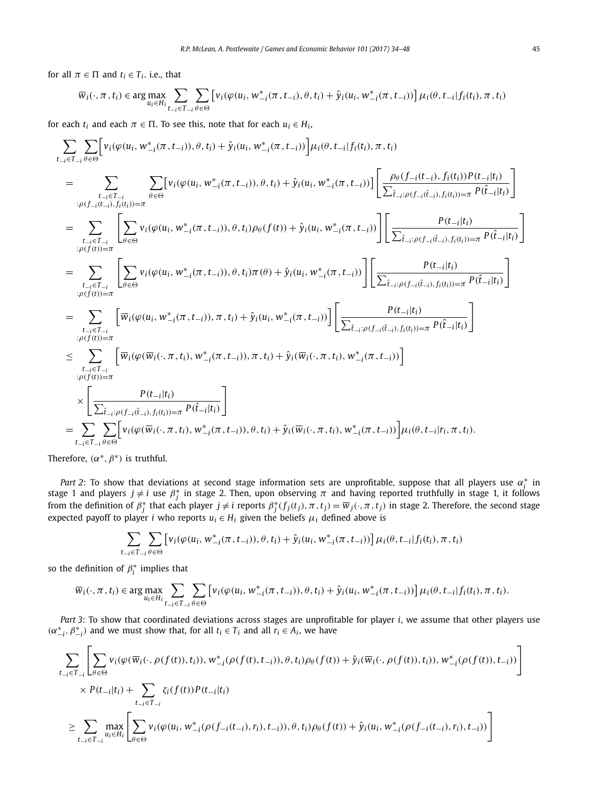for all  $\pi \in \Pi$  and  $t_i \in T_i$ , i.e., that

$$
\overline{w}_{i}(\cdot,\pi,t_{i}) \in \arg\max_{u_{i}\in H_{i}} \sum_{t_{-i}\in T_{-i}} \sum_{\theta\in\Theta} \left[ v_{i}(\varphi(u_{i},w_{-i}^{*}(\pi,t_{-i}),\theta,t_{i}) + \hat{y}_{i}(u_{i},w_{-i}^{*}(\pi,t_{-i})) \right] \mu_{i}(\theta,t_{-i}|f_{i}(t_{i}),\pi,t_{i})
$$

for each  $t_i$  and each  $\pi \in \Pi$ . To see this, note that for each  $u_i \in H_i$ ,

$$
\sum_{t_{-i}\in T_{-i}}\sum_{\theta\in\Theta} \left[ v_{i}(\varphi(u_{i}, w_{-i}^{*}(\pi, t_{-i})), \theta, t_{i}) + \hat{y}_{i}(u_{i}, w_{-i}^{*}(\pi, t_{-i})) \right] \mu_{i}(\theta, t_{-i}|f_{i}(t_{i}), \pi, t_{i})
$$
\n
$$
= \sum_{\substack{t_{-i}\in T_{-i} \\ \vdots \\ \varphi(f_{-i}(t_{-i}), f_{i}(t_{i}))=\pi}} \sum_{\theta\in\Theta} \left[ v_{i}(\varphi(u_{i}, w_{-i}^{*}(\pi, t_{-i})), \theta, t_{i}) + \hat{y}_{i}(u_{i}, w_{-i}^{*}(\pi, t_{-i})) \right] \left[ \frac{\rho_{\theta}(f_{-i}(t_{-i}), f_{i}(t_{i}))P(t_{-i}|t_{i})}{\sum_{\hat{t}_{-i}\in\mathcal{F}(f_{-i}(\hat{t}_{-i}), f_{i}(t_{i}))=\pi} P(\hat{t}_{-i}|t_{i})} \right]
$$
\n
$$
= \sum_{\substack{t_{-i}\in T_{-i} \\ \vdots \\ \varphi(f(0))=\pi}} \left[ \sum_{\theta\in\Theta} v_{i}(\varphi(u_{i}, w_{-i}^{*}(\pi, t_{-i})), \theta, t_{i})\rho_{\theta}(f(t)) + \hat{y}_{i}(u_{i}, w_{-i}^{*}(\pi, t_{-i})) \right] \left[ \frac{P(t_{-i}|t_{i})}{\sum_{\hat{t}_{-i}\in\mathcal{F}(f_{-i}(\hat{t}_{-i}), f_{i}(t_{i}))=\pi} P(\hat{t}_{-i}|t_{i})} \right]
$$
\n
$$
= \sum_{\substack{t_{-i}\in T_{-i} \\ \vdots \\ \varphi(f(t))=\pi}} \left[ \overline{w}_{i}(\varphi(u_{i}, w_{-i}^{*}(\pi, t_{-i})), \pi, t_{i}) + \hat{y}_{i}(u_{i}, w_{-i}^{*}(\pi, t_{-i})) \right] \left[ \frac{P(t_{-i}|t_{i})}{\sum_{\hat{t}_{-i}\in\mathcal{F}(f_{-i}(\hat{t}_{-i}), f_{i}(t_{i}))=\pi} P(\hat{t}_{-i}|t_{i})} \right]
$$
\n

Therefore,  $(\alpha^*, \beta^*)$  is truthful.

*Part 2*: To show that deviations at second stage information sets are unprofitable, suppose that all players use *α*<sup>∗</sup> *<sup>i</sup>* in stage 1 and players  $j\neq i$  use  $\beta^*_j$  in stage 2. Then, upon observing  $\pi$  and having reported truthfully in stage 1, it follows from the definition of  $\beta_j^*$  that each player  $j\neq i$  reports  $\beta_j^*(f_j(t_j),\pi,t_j)=\overline{w}_j(\cdot,\pi,t_j)$  in stage 2. Therefore, the second stage expected payoff to player *i* who reports  $u_i \in H_i$  given the beliefs  $\mu_i$  defined above is

$$
\sum_{t_{-i}\in T_{-i}}\sum_{\theta\in\Theta}\left[v_i(\varphi(u_i,w_{-i}^*(\pi,t_{-i})),\theta,t_i)+\hat{y}_i(u_i,w_{-i}^*(\pi,t_{-i}))\right]\mu_i(\theta,t_{-i}|f_i(t_i),\pi,t_i)
$$

so the definition of  $\beta_i^*$  implies that

$$
\overline{w}_{i}(\cdot,\pi,t_{i}) \in \arg\max_{u_{i}\in H_{i}} \sum_{t_{-i}\in T_{-i}} \sum_{\theta\in\Theta} \left[ v_{i}(\varphi(u_{i},w_{-i}^{*}(\pi,t_{-i})),\theta,t_{i}) + \hat{y}_{i}(u_{i},w_{-i}^{*}(\pi,t_{-i})) \right] \mu_{i}(\theta,t_{-i}|f_{i}(t_{i}),\pi,t_{i}).
$$

*Part 3*: To show that coordinated deviations across stages are unprofitable for player *i*, we assume that other players use  $(\alpha_{-i}^*, \beta_{-i}^*)$  and we must show that, for all  $t_i \in T_i$  and all  $r_i \in A_i$ , we have

$$
\sum_{t_{-i}\in T_{-i}} \left[ \sum_{\theta \in \Theta} v_i(\varphi(\overline{w}_i(\cdot,\rho(f(t)),t_i)),w_{-i}^*(\rho(f(t),t_{-i})),\theta,t_i)\rho_{\theta}(f(t)) + \hat{y}_i(\overline{w}_i(\cdot,\rho(f(t)),t_i)),w_{-i}^*(\rho(f(t)),t_{-i})) \right]
$$
  
\n
$$
\times P(t_{-i}|t_i) + \sum_{t_{-i}\in T_{-i}} \zeta_i(f(t))P(t_{-i}|t_i)
$$
  
\n
$$
\geq \sum_{t_{-i}\in T_{-i}} \max_{u_i \in H_i} \left[ \sum_{\theta \in \Theta} v_i(\varphi(u_i,w_{-i}^*(\rho(f_{-i}(t_{-i}),r_i),t_{-i})),\theta,t_i)\rho_{\theta}(f(t)) + \hat{y}_i(u_i,w_{-i}^*(\rho(f_{-i}(t_{-i}),r_i),t_{-i})) \right]
$$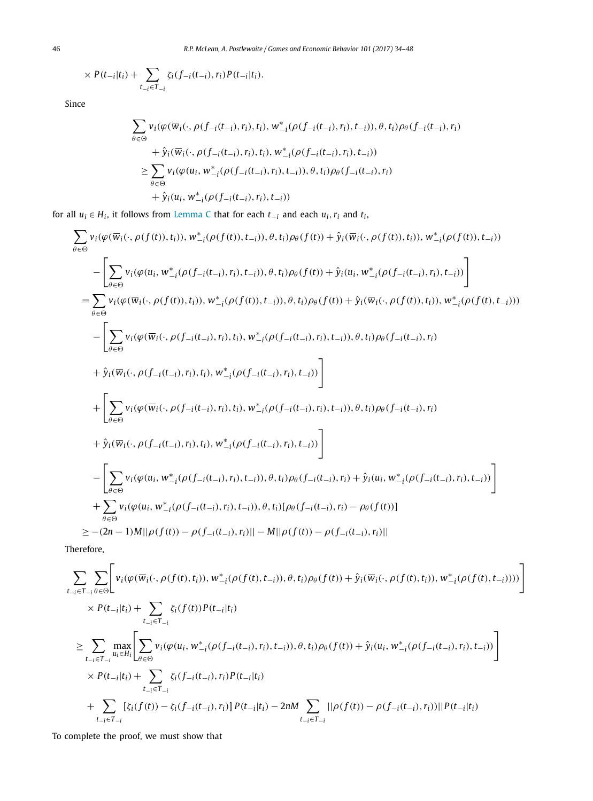$$
\times P(t_{-i}|t_i) + \sum_{t_{-i} \in T_{-i}} \zeta_i(f_{-i}(t_{-i}), r_i) P(t_{-i}|t_i).
$$

Since

$$
\sum_{\theta \in \Theta} v_i(\varphi(\overline{w}_i(\cdot, \rho(f_{-i}(t_{-i}), r_i), t_i), w_{-i}^*(\rho(f_{-i}(t_{-i}), r_i), t_{-i})), \theta, t_i) \rho_{\theta}(f_{-i}(t_{-i}), r_i) + \hat{y}_i(\overline{w}_i(\cdot, \rho(f_{-i}(t_{-i}), r_i), t_i), w_{-i}^*(\rho(f_{-i}(t_{-i}), r_i), t_{-i})) \geq \sum_{\theta \in \Theta} v_i(\varphi(u_i, w_{-i}^*(\rho(f_{-i}(t_{-i}), r_i), t_{-i})), \theta, t_i) \rho_{\theta}(f_{-i}(t_{-i}), r_i) + \hat{y}_i(u_i, w_{-i}^*(\rho(f_{-i}(t_{-i}), r_i), t_{-i}))
$$

for all  $u_i \in H_i$ , it follows from [Lemma C](#page-10-0) that for each  $t_{-i}$  and each  $u_i$ ,  $r_i$  and  $t_i$ ,

$$
\sum_{\theta \in \Theta} v_{i}(\varphi(\overline{w}_{i}(\cdot,\rho(f(t)),t_{i})),w_{-i}^{*}(\rho(f(t)),t_{-i})),\theta,t_{i})\rho_{\theta}(f(t)) + \hat{y}_{i}(\overline{w}_{i}(\cdot,\rho(f(t)),t_{i})),w_{-i}^{*}(\rho(f(t)),t_{-i}))
$$
\n
$$
- \left[ \sum_{\theta \in \Theta} v_{i}(\varphi(u_{i},w_{-i}^{*}(\rho(f_{-i}(t_{-i}),r_{i}),t_{-i})),\theta,t_{i})\rho_{\theta}(f(t)) + \hat{y}_{i}(u_{i},w_{-i}^{*}(\rho(f_{-i}(t_{-i}),r_{i}),t_{-i})) \right]
$$
\n
$$
= \sum_{\theta \in \Theta} v_{i}(\varphi(\overline{w}_{i}(\cdot,\rho(f(t)),t_{i})),w_{-i}^{*}(\rho(f(t)),t_{-i})),\theta,t_{i})\rho_{\theta}(f(t)) + \hat{y}_{i}(\overline{w}_{i}(\cdot,\rho(f(t)),t_{i})),w_{-i}^{*}(\rho(f(t),t_{-i})))
$$
\n
$$
- \left[ \sum_{\theta \in \Theta} v_{i}(\varphi(\overline{w}_{i}(\cdot,\rho(f_{-i}(t_{-i}),r_{i}),t_{i}),w_{-i}^{*}(\rho(f_{-i}(t_{-i}),r_{i}),t_{-i})),\theta,t_{i})\rho_{\theta}(f_{-i}(t_{-i}),r_{i}) \right]
$$
\n
$$
+ \hat{y}_{i}(\overline{w}_{i}(\cdot,\rho(f_{-i}(t_{-i}),r_{i}),t_{i}),w_{-i}^{*}(\rho(f_{-i}(t_{-i}),r_{i}),t_{-i})) \right]
$$
\n
$$
+ \left[ \sum_{\theta \in \Theta} v_{i}(\varphi(\overline{w}_{i}(\cdot,\rho(f_{-i}(t_{-i}),r_{i}),t_{i}),w_{-i}^{*}(\rho(f_{-i}(t_{-i}),r_{i}),t_{-i}))) \right]
$$
\n
$$
- \left[ \sum_{\theta \in \Theta} v_{i}(\varphi(u_{i},w_{-i}^{*}(\rho(f_{-i}(t_{-i}),r_{i}),t_{-i})),\theta,t_{i})\rho_{\theta}(f_{-i}(t_{-i}),r_{i}) + \hat{y}_{i}(u
$$

Therefore,

$$
\sum_{t_{-i}\in T_{-i}}\sum_{\theta\in\Theta}\Biggl[v_{i}(\varphi(\overline{w}_{i}(\cdot,\rho(f(t),t_{i})),w_{-i}^{*}(\rho(f(t),t_{-i})),\theta,t_{i})\rho_{\theta}(f(t))+\hat{y}_{i}(\overline{w}_{i}(\cdot,\rho(f(t),t_{i})),w_{-i}^{*}(\rho(f(t),t_{-i}))))\Biggr]\times P(t_{-i}|t_{i}) + \sum_{t_{-i}\in T_{-i}}\zeta_{i}(f(t))P(t_{-i}|t_{i})\geq \sum_{t_{-i}\in T_{-i}}\max_{u_{i}\in H_{i}}\Biggl[\sum_{\theta\in\Theta}v_{i}(\varphi(u_{i},w_{-i}^{*}(\rho(f_{-i}(t_{-i}),r_{i}),t_{-i})),\theta,t_{i})\rho_{\theta}(f(t))+\hat{y}_{i}(u_{i},w_{-i}^{*}(\rho(f_{-i}(t_{-i}),r_{i}),t_{-i}))\Biggr]\times P(t_{-i}|t_{i}) + \sum_{t_{-i}\in T_{-i}}\zeta_{i}(f_{-i}(t_{-i}),r_{i})P(t_{-i}|t_{i})+\sum_{t_{-i}\in T_{-i}}[\zeta_{i}(f(t))-\zeta_{i}(f_{-i}(t_{-i}),r_{i})]P(t_{-i}|t_{i})-2nM\sum_{t_{-i}\in T_{-i}}||\rho(f(t))-\rho(f_{-i}(t_{-i}),r_{i}))||P(t_{-i}|t_{i})
$$

To complete the proof, we must show that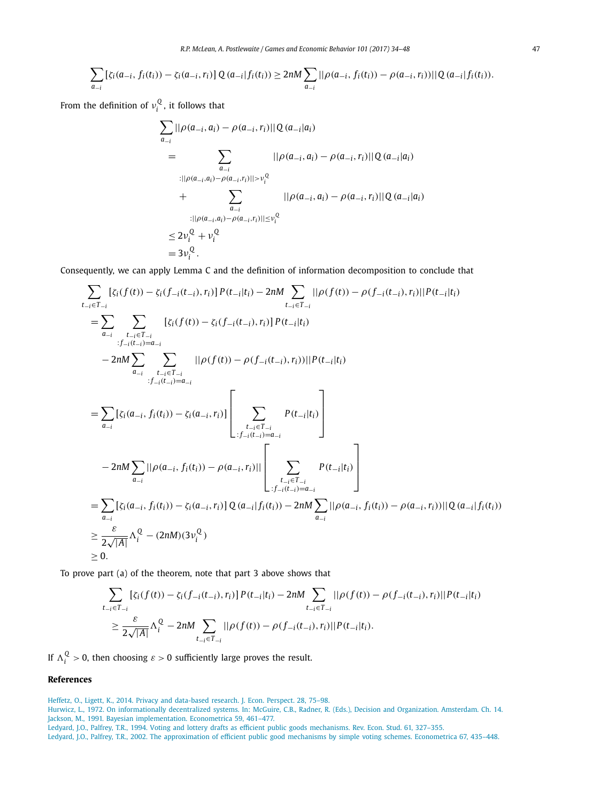<span id="page-13-0"></span>
$$
\sum_{a_{-i}} [\zeta_i(a_{-i}, f_i(t_i)) - \zeta_i(a_{-i}, r_i)] Q(a_{-i}|f_i(t_i)) \ge 2nM \sum_{a_{-i}} ||\rho(a_{-i}, f_i(t_i)) - \rho(a_{-i}, r_i))||Q(a_{-i}|f_i(t_i)).
$$

From the definition of  $v_i^{\mathbb{Q}}$ , it follows that

$$
\sum_{a_{-i}} ||\rho(a_{-i}, a_i) - \rho(a_{-i}, r_i)||Q(a_{-i}|a_i)
$$
\n
$$
= \sum_{\substack{a_{-i} \\ \vdots \\ a_{-i}}} ||\rho(a_{-i}, a_i) - \rho(a_{-i}, r_i)|| > v_i^Q
$$
\n
$$
+ \sum_{\substack{a_{-i} \\ \vdots \\ a_{-i}}} ||\rho(a_{-i}, a_i) - \rho(a_{-i}, r_i)|| > v_i^Q
$$
\n
$$
\leq 2v_i^Q + v_i^Q
$$
\n
$$
= 3v_i^Q.
$$

Consequently, we can apply Lemma C and the definition of information decomposition to conclude that

$$
\sum_{t_{-i} \in T_{-i}} [\zeta_i(f(t)) - \zeta_i(f_{-i}(t_{-i}), r_i)] P(t_{-i}|t_i) - 2nM \sum_{t_{-i} \in T_{-i}} ||\rho(f(t)) - \rho(f_{-i}(t_{-i}), r_i)||P(t_{-i}|t_i)
$$
\n
$$
= \sum_{a_{-i}} \sum_{t_{-i} \in T_{-i}} [\zeta_i(f(t)) - \zeta_i(f_{-i}(t_{-i}), r_i)] P(t_{-i}|t_i)
$$
\n
$$
- 2nM \sum_{a_{-i}} \sum_{t_{-i} \in T_{-i}} ||\rho(f(t)) - \rho(f_{-i}(t_{-i}), r_i)||P(t_{-i}|t_i)
$$
\n
$$
= \sum_{t_{-i}} [\zeta_i(a_{-i}, f_i(t_i)) - \zeta_i(a_{-i}, r_i)] \left[\sum_{t_{-i} \in T_{-i}} P(t_{-i}|t_i)\right]
$$
\n
$$
- 2nM \sum_{a_{-i}} ||\rho(a_{-i}, f_i(t_i)) - \rho(a_{-i}, r_i)|| \left[\sum_{t_{-i} \in T_{-i}} P(t_{-i}|t_i)\right]
$$
\n
$$
= \sum_{a_{-i}} [\zeta_i(a_{-i}, f_i(t_i)) - \zeta_i(a_{-i}, r_i)|| \left[\sum_{t_{-i} \in T_{-i}} P(t_{-i}|t_i)\right]
$$
\n
$$
= \sum_{a_{-i}} [\zeta_i(a_{-i}, f_i(t_i)) - \zeta_i(a_{-i}, r_i)] Q(a_{-i}|f_i(t_i)) - 2nM \sum_{a_{-i}} ||\rho(a_{-i}, f_i(t_i)) - \rho(a_{-i}, r_i)||] Q(a_{-i}|f_i(t_i))
$$
\n
$$
\geq \frac{\varepsilon}{2\sqrt{|A|}} \Lambda_i^Q - (2nM)(3\nu_i^Q)
$$
\n
$$
\geq 0.
$$

To prove part (a) of the theorem, note that part 3 above shows that

$$
\sum_{t_{-i}\in T_{-i}} [\zeta_i(f(t)) - \zeta_i(f_{-i}(t_{-i}), r_i)] P(t_{-i}|t_i) - 2nM \sum_{t_{-i}\in T_{-i}} ||\rho(f(t)) - \rho(f_{-i}(t_{-i}), r_i)||P(t_{-i}|t_i) \n\ge \frac{\varepsilon}{2\sqrt{|A|}} \Lambda_i^Q - 2nM \sum_{t_{-i}\in T_{-i}} ||\rho(f(t)) - \rho(f_{-i}(t_{-i}), r_i)||P(t_{-i}|t_i).
$$

If  $\Lambda_i^\mathbb{Q} > 0$ , then choosing  $\varepsilon > 0$  sufficiently large proves the result.

## **References**

Heffetz, O., Ligett, K., 2014. Privacy and data-based research. J. Econ. [Perspect. 28,](http://refhub.elsevier.com/S0899-8256(15)00095-0/bib36s1) 75–98.

Hurwicz, L., 1972. On [informationally](http://refhub.elsevier.com/S0899-8256(15)00095-0/bib37s1) decentralized systems. In: McGuire, C.B., Radner, R. (Eds.), Decision and Organization. Amsterdam. Ch. 14. Jackson, M., 1991. Bayesian implementation. [Econometrica 59,](http://refhub.elsevier.com/S0899-8256(15)00095-0/bib38s1) 461–477.

Ledyard, J.O., Palfrey, T.R., 1994. Voting and lottery drafts as efficient public goods [mechanisms.](http://refhub.elsevier.com/S0899-8256(15)00095-0/bib39s1) Rev. Econ. Stud. 61, 327–355.

Ledyard, J.O., Palfrey, T.R., 2002. The approximation of efficient public good mechanisms by simple voting schemes. [Econometrica 67,](http://refhub.elsevier.com/S0899-8256(15)00095-0/bib3130s1) 435–448.